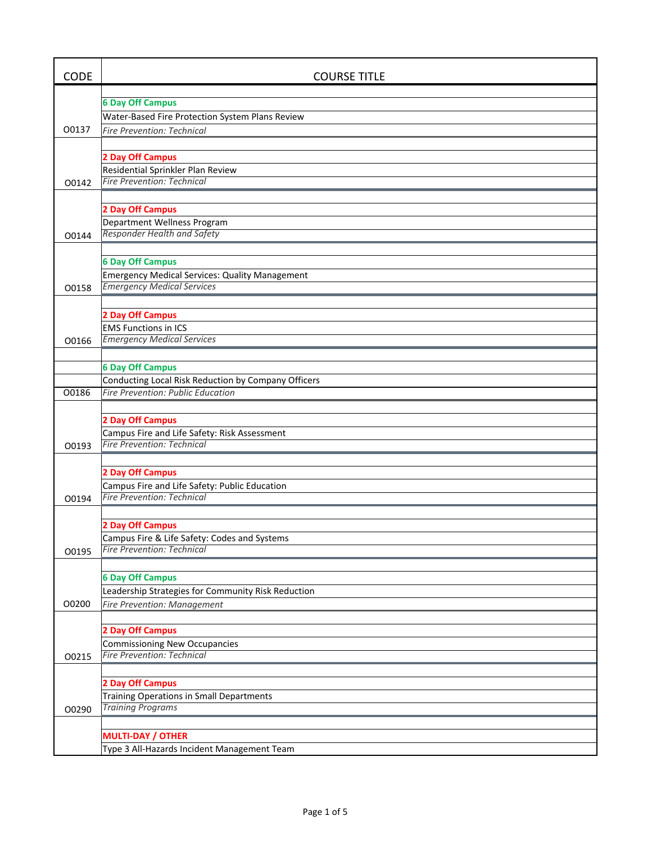| <b>CODE</b> | <b>COURSE TITLE</b>                                   |
|-------------|-------------------------------------------------------|
|             |                                                       |
|             | <b>6 Day Off Campus</b>                               |
|             | Water-Based Fire Protection System Plans Review       |
| 00137       | <b>Fire Prevention: Technical</b>                     |
|             |                                                       |
|             | 2 Day Off Campus                                      |
|             | Residential Sprinkler Plan Review                     |
| 00142       | <b>Fire Prevention: Technical</b>                     |
|             |                                                       |
|             | <b>2 Day Off Campus</b>                               |
|             | Department Wellness Program                           |
| 00144       | <b>Responder Health and Safety</b>                    |
|             |                                                       |
|             | <b>6 Day Off Campus</b>                               |
|             | <b>Emergency Medical Services: Quality Management</b> |
| 00158       | <b>Emergency Medical Services</b>                     |
|             |                                                       |
|             | <b>2 Day Off Campus</b>                               |
|             | <b>EMS Functions in ICS</b>                           |
| O0166       | <b>Emergency Medical Services</b>                     |
|             |                                                       |
|             | <b>6 Day Off Campus</b>                               |
|             | Conducting Local Risk Reduction by Company Officers   |
| 00186       | Fire Prevention: Public Education                     |
|             |                                                       |
|             | 2 Day Off Campus                                      |
|             | Campus Fire and Life Safety: Risk Assessment          |
| 00193       | <b>Fire Prevention: Technical</b>                     |
|             |                                                       |
|             | 2 Day Off Campus                                      |
|             | Campus Fire and Life Safety: Public Education         |
| 00194       | <b>Fire Prevention: Technical</b>                     |
|             |                                                       |
|             | 2 Day Off Campus                                      |
|             | Campus Fire & Life Safety: Codes and Systems          |
| 00195       | <b>Fire Prevention: Technical</b>                     |
|             |                                                       |
|             | <b>6 Day Off Campus</b>                               |
|             | Leadership Strategies for Community Risk Reduction    |
| O0200       | Fire Prevention: Management                           |
|             |                                                       |
|             | <b>2 Day Off Campus</b>                               |
|             | <b>Commissioning New Occupancies</b>                  |
| 00215       | <b>Fire Prevention: Technical</b>                     |
|             |                                                       |
|             | 2 Day Off Campus                                      |
|             | Training Operations in Small Departments              |
| 00290       | <b>Training Programs</b>                              |
|             |                                                       |
|             | <b>MULTI-DAY / OTHER</b>                              |
|             | Type 3 All-Hazards Incident Management Team           |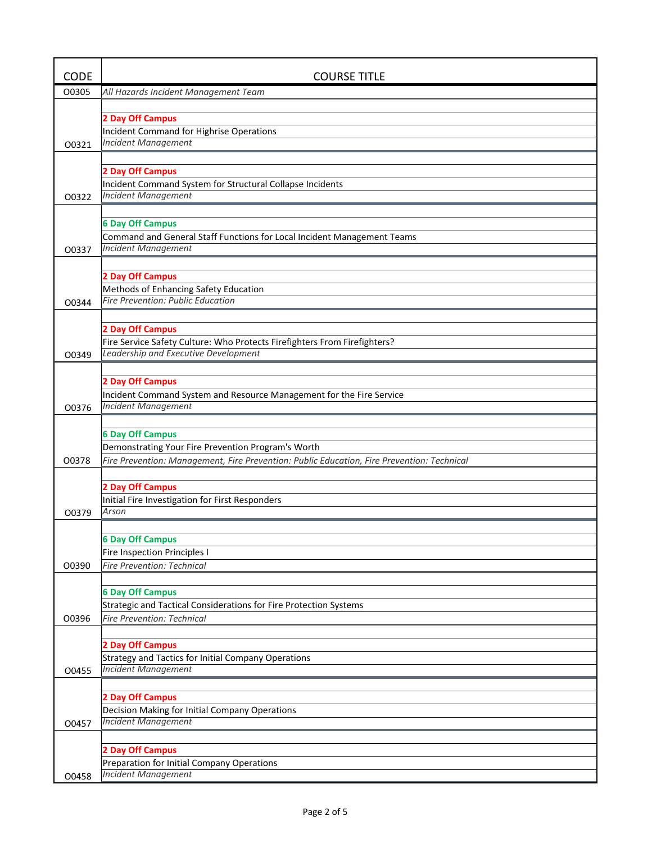| <b>CODE</b> | <b>COURSE TITLE</b>                                                                        |
|-------------|--------------------------------------------------------------------------------------------|
| 00305       | All Hazards Incident Management Team                                                       |
|             |                                                                                            |
|             | <b>2 Day Off Campus</b>                                                                    |
|             | Incident Command for Highrise Operations                                                   |
| 00321       | <b>Incident Management</b>                                                                 |
|             |                                                                                            |
|             | <b>2 Day Off Campus</b>                                                                    |
|             | Incident Command System for Structural Collapse Incidents                                  |
| 00322       | <b>Incident Management</b>                                                                 |
|             |                                                                                            |
|             | <b>6 Day Off Campus</b>                                                                    |
|             | Command and General Staff Functions for Local Incident Management Teams                    |
| 00337       | <b>Incident Management</b>                                                                 |
|             |                                                                                            |
|             | <b>2 Day Off Campus</b>                                                                    |
|             | Methods of Enhancing Safety Education                                                      |
| 00344       | <b>Fire Prevention: Public Education</b>                                                   |
|             |                                                                                            |
|             | <b>2 Day Off Campus</b>                                                                    |
|             | Fire Service Safety Culture: Who Protects Firefighters From Firefighters?                  |
| O0349       | Leadership and Executive Development                                                       |
|             |                                                                                            |
|             | <b>2 Day Off Campus</b>                                                                    |
|             | Incident Command System and Resource Management for the Fire Service                       |
| 00376       | <b>Incident Management</b>                                                                 |
|             |                                                                                            |
|             | <b>6 Day Off Campus</b>                                                                    |
|             | Demonstrating Your Fire Prevention Program's Worth                                         |
| 00378       | Fire Prevention: Management, Fire Prevention: Public Education, Fire Prevention: Technical |
|             |                                                                                            |
|             | <b>2 Day Off Campus</b>                                                                    |
|             | Initial Fire Investigation for First Responders                                            |
| O0379       | Arson                                                                                      |
|             |                                                                                            |
|             | <b>6 Day Off Campus</b>                                                                    |
|             | Fire Inspection Principles I                                                               |
| O0390       | Fire Prevention: Technical                                                                 |
|             |                                                                                            |
|             | <b>6 Day Off Campus</b>                                                                    |
|             | Strategic and Tactical Considerations for Fire Protection Systems                          |
| O0396       | Fire Prevention: Technical                                                                 |
|             |                                                                                            |
|             | <b>2 Day Off Campus</b>                                                                    |
|             | Strategy and Tactics for Initial Company Operations<br><b>Incident Management</b>          |
| 00455       |                                                                                            |
|             |                                                                                            |
|             | <b>2 Day Off Campus</b>                                                                    |
|             | Decision Making for Initial Company Operations<br><b>Incident Management</b>               |
| 00457       |                                                                                            |
|             |                                                                                            |
|             | <b>2 Day Off Campus</b><br>Preparation for Initial Company Operations                      |
|             | <b>Incident Management</b>                                                                 |
| 00458       |                                                                                            |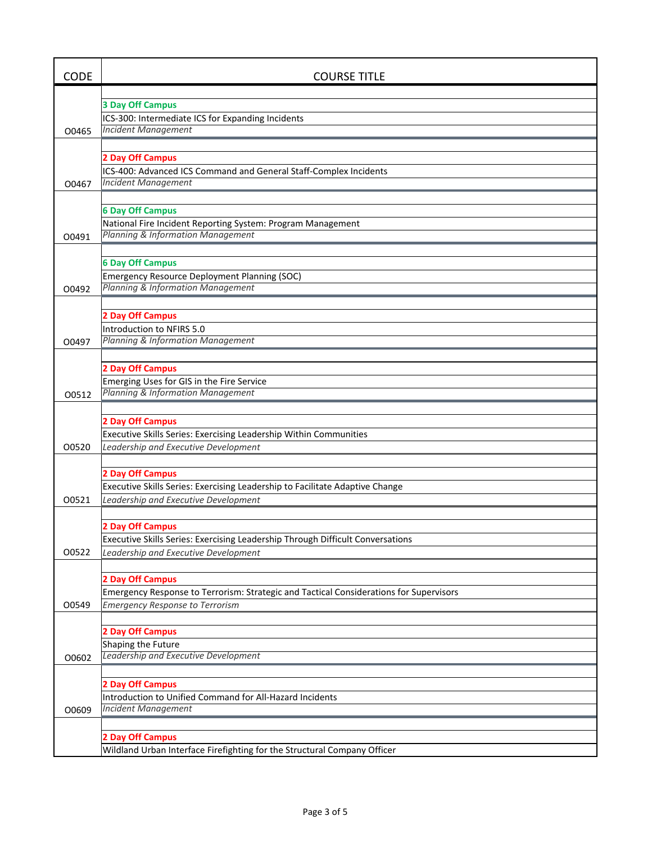| <b>CODE</b> | <b>COURSE TITLE</b>                                                                                     |
|-------------|---------------------------------------------------------------------------------------------------------|
|             |                                                                                                         |
|             | <b>3 Day Off Campus</b>                                                                                 |
|             | ICS-300: Intermediate ICS for Expanding Incidents<br><b>Incident Management</b>                         |
| O0465       |                                                                                                         |
|             | <b>2 Day Off Campus</b>                                                                                 |
|             | ICS-400: Advanced ICS Command and General Staff-Complex Incidents                                       |
| O0467       | <b>Incident Management</b>                                                                              |
|             |                                                                                                         |
|             | <b>6 Day Off Campus</b>                                                                                 |
|             | National Fire Incident Reporting System: Program Management                                             |
| O0491       | <b>Planning &amp; Information Management</b>                                                            |
|             |                                                                                                         |
|             | <b>6 Day Off Campus</b>                                                                                 |
|             | Emergency Resource Deployment Planning (SOC)<br><b>Planning &amp; Information Management</b>            |
| O0492       |                                                                                                         |
|             |                                                                                                         |
|             | <b>2 Day Off Campus</b><br>Introduction to NFIRS 5.0                                                    |
| O0497       | <b>Planning &amp; Information Management</b>                                                            |
|             |                                                                                                         |
|             | <b>2 Day Off Campus</b>                                                                                 |
|             | Emerging Uses for GIS in the Fire Service                                                               |
| 00512       | <b>Planning &amp; Information Management</b>                                                            |
|             |                                                                                                         |
|             | <b>2 Day Off Campus</b>                                                                                 |
|             | Executive Skills Series: Exercising Leadership Within Communities                                       |
| 00520       | Leadership and Executive Development                                                                    |
|             |                                                                                                         |
|             | <b>2 Day Off Campus</b><br>Executive Skills Series: Exercising Leadership to Facilitate Adaptive Change |
| 00521       | Leadership and Executive Development                                                                    |
|             |                                                                                                         |
|             | <b>2 Day Off Campus</b>                                                                                 |
|             | Executive Skills Series: Exercising Leadership Through Difficult Conversations                          |
| 00522       | Leadership and Executive Development                                                                    |
|             |                                                                                                         |
|             | <b>2 Day Off Campus</b>                                                                                 |
|             | Emergency Response to Terrorism: Strategic and Tactical Considerations for Supervisors                  |
| O0549       | <b>Emergency Response to Terrorism</b>                                                                  |
|             | <b>2 Day Off Campus</b>                                                                                 |
|             | Shaping the Future                                                                                      |
| 00602       | Leadership and Executive Development                                                                    |
|             |                                                                                                         |
|             | <b>2 Day Off Campus</b>                                                                                 |
|             | Introduction to Unified Command for All-Hazard Incidents                                                |
| O0609       | <b>Incident Management</b>                                                                              |
|             |                                                                                                         |
|             | <b>2 Day Off Campus</b>                                                                                 |
|             | Wildland Urban Interface Firefighting for the Structural Company Officer                                |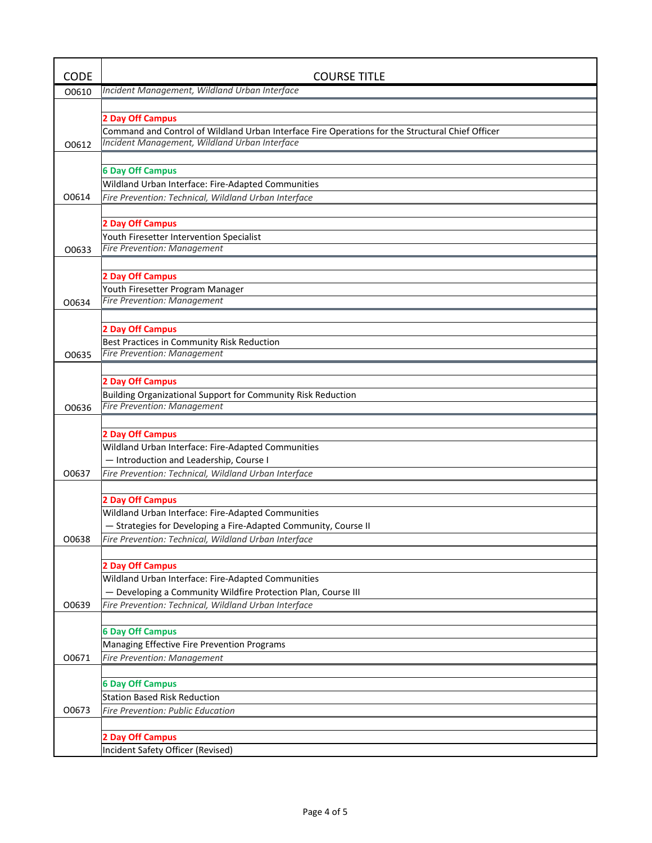| <b>CODE</b> | <b>COURSE TITLE</b>                                                                                |
|-------------|----------------------------------------------------------------------------------------------------|
| 00610       | Incident Management, Wildland Urban Interface                                                      |
|             |                                                                                                    |
|             | <b>2 Day Off Campus</b>                                                                            |
|             | Command and Control of Wildland Urban Interface Fire Operations for the Structural Chief Officer   |
| 00612       | Incident Management, Wildland Urban Interface                                                      |
|             |                                                                                                    |
|             | <b>6 Day Off Campus</b>                                                                            |
|             | Wildland Urban Interface: Fire-Adapted Communities                                                 |
| 00614       | Fire Prevention: Technical, Wildland Urban Interface                                               |
|             |                                                                                                    |
|             | <b>2 Day Off Campus</b>                                                                            |
|             | Youth Firesetter Intervention Specialist                                                           |
| 00633       | <b>Fire Prevention: Management</b>                                                                 |
|             |                                                                                                    |
|             | <b>2 Day Off Campus</b>                                                                            |
|             | Youth Firesetter Program Manager                                                                   |
| 00634       | <b>Fire Prevention: Management</b>                                                                 |
|             |                                                                                                    |
|             | <b>2 Day Off Campus</b>                                                                            |
|             | Best Practices in Community Risk Reduction                                                         |
| 00635       | <b>Fire Prevention: Management</b>                                                                 |
|             |                                                                                                    |
|             | <b>2 Day Off Campus</b>                                                                            |
|             | Building Organizational Support for Community Risk Reduction<br><b>Fire Prevention: Management</b> |
| 00636       |                                                                                                    |
|             |                                                                                                    |
|             | 2 Day Off Campus                                                                                   |
|             | Wildland Urban Interface: Fire-Adapted Communities<br>- Introduction and Leadership, Course I      |
| 00637       | Fire Prevention: Technical, Wildland Urban Interface                                               |
|             |                                                                                                    |
|             | <b>2 Day Off Campus</b>                                                                            |
|             | Wildland Urban Interface: Fire-Adapted Communities                                                 |
|             | - Strategies for Developing a Fire-Adapted Community, Course II                                    |
| 00638       | Fire Prevention: Technical, Wildland Urban Interface                                               |
|             |                                                                                                    |
|             | <b>2 Day Off Campus</b>                                                                            |
|             | Wildland Urban Interface: Fire-Adapted Communities                                                 |
|             | - Developing a Community Wildfire Protection Plan, Course III                                      |
| 00639       | Fire Prevention: Technical, Wildland Urban Interface                                               |
|             |                                                                                                    |
|             | <b>6 Day Off Campus</b>                                                                            |
|             | Managing Effective Fire Prevention Programs                                                        |
| 00671       | Fire Prevention: Management                                                                        |
|             |                                                                                                    |
|             | <b>6 Day Off Campus</b>                                                                            |
|             | <b>Station Based Risk Reduction</b>                                                                |
| O0673       | Fire Prevention: Public Education                                                                  |
|             |                                                                                                    |
|             | <b>2 Day Off Campus</b>                                                                            |
|             | Incident Safety Officer (Revised)                                                                  |